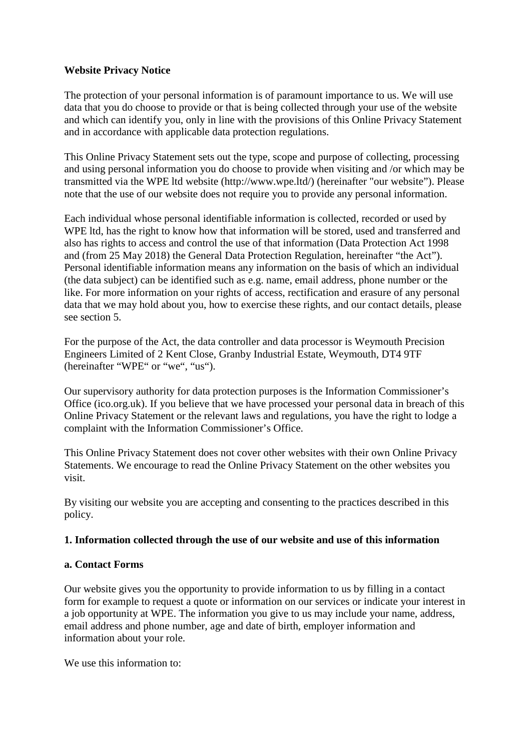### **Website Privacy Notice**

The protection of your personal information is of paramount importance to us. We will use data that you do choose to provide or that is being collected through your use of the website and which can identify you, only in line with the provisions of this Online Privacy Statement and in accordance with applicable data protection regulations.

This Online Privacy Statement sets out the type, scope and purpose of collecting, processing and using personal information you do choose to provide when visiting and /or which may be transmitted via the WPE ltd website (http://www.wpe.ltd/) (hereinafter "our website"). Please note that the use of our website does not require you to provide any personal information.

Each individual whose personal identifiable information is collected, recorded or used by WPE ltd, has the right to know how that information will be stored, used and transferred and also has rights to access and control the use of that information (Data Protection Act 1998 and (from 25 May 2018) the General Data Protection Regulation, hereinafter "the Act"). Personal identifiable information means any information on the basis of which an individual (the data subject) can be identified such as e.g. name, email address, phone number or the like. For more information on your rights of access, rectification and erasure of any personal data that we may hold about you, how to exercise these rights, and our contact details, please see section 5.

For the purpose of the Act, the data controller and data processor is Weymouth Precision Engineers Limited of 2 Kent Close, Granby Industrial Estate, Weymouth, DT4 9TF (hereinafter "WPE" or "we", "us").

Our supervisory authority for data protection purposes is the Information Commissioner's Office (ico.org.uk). If you believe that we have processed your personal data in breach of this Online Privacy Statement or the relevant laws and regulations, you have the right to lodge a complaint with the Information Commissioner's Office.

This Online Privacy Statement does not cover other websites with their own Online Privacy Statements. We encourage to read the Online Privacy Statement on the other websites you visit.

By visiting our website you are accepting and consenting to the practices described in this policy.

#### **1. Information collected through the use of our website and use of this information**

#### **a. Contact Forms**

Our website gives you the opportunity to provide information to us by filling in a contact form for example to request a quote or information on our services or indicate your interest in a job opportunity at WPE. The information you give to us may include your name, address, email address and phone number, age and date of birth, employer information and information about your role.

We use this information to: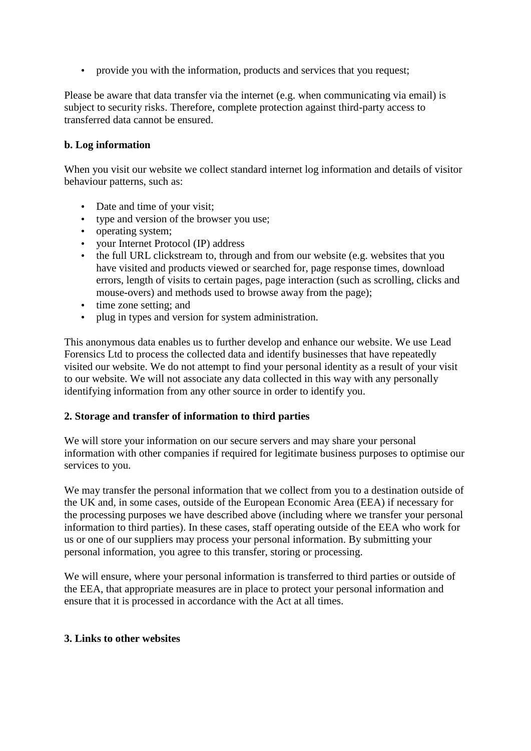provide you with the information, products and services that you request;

Please be aware that data transfer via the internet (e.g. when communicating via email) is subject to security risks. Therefore, complete protection against third-party access to transferred data cannot be ensured.

# **b. Log information**

When you visit our website we collect standard internet log information and details of visitor behaviour patterns, such as:

- Date and time of your visit;
- type and version of the browser you use;
- operating system;
- your Internet Protocol (IP) address
- the full URL clickstream to, through and from our website (e.g. websites that you have visited and products viewed or searched for, page response times, download errors, length of visits to certain pages, page interaction (such as scrolling, clicks and mouse-overs) and methods used to browse away from the page);
- time zone setting; and
- plug in types and version for system administration.

This anonymous data enables us to further develop and enhance our website. We use Lead Forensics Ltd to process the collected data and identify businesses that have repeatedly visited our website. We do not attempt to find your personal identity as a result of your visit to our website. We will not associate any data collected in this way with any personally identifying information from any other source in order to identify you.

#### **2. Storage and transfer of information to third parties**

We will store your information on our secure servers and may share your personal information with other companies if required for legitimate business purposes to optimise our services to you.

We may transfer the personal information that we collect from you to a destination outside of the UK and, in some cases, outside of the European Economic Area (EEA) if necessary for the processing purposes we have described above (including where we transfer your personal information to third parties). In these cases, staff operating outside of the EEA who work for us or one of our suppliers may process your personal information. By submitting your personal information, you agree to this transfer, storing or processing.

We will ensure, where your personal information is transferred to third parties or outside of the EEA, that appropriate measures are in place to protect your personal information and ensure that it is processed in accordance with the Act at all times.

#### **3. Links to other websites**